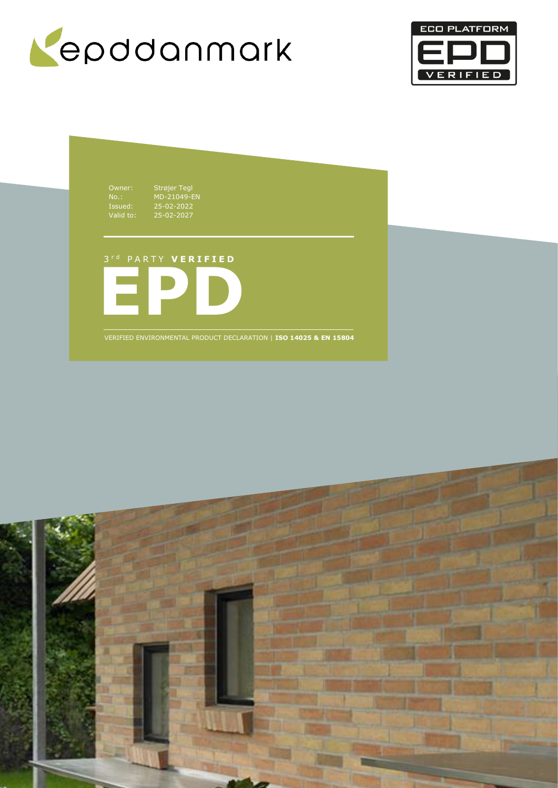



Owner: Strøjer Tegl No.: MD-21049-EN Issued: 25-02-2022 Valid to: 25-02-2027

# 3 r d P A R T Y **V E R I F I E D**



VERIFIED ENVIRONMENTAL PRODUCT DECLARATION | **ISO 14025 & EN 15804**

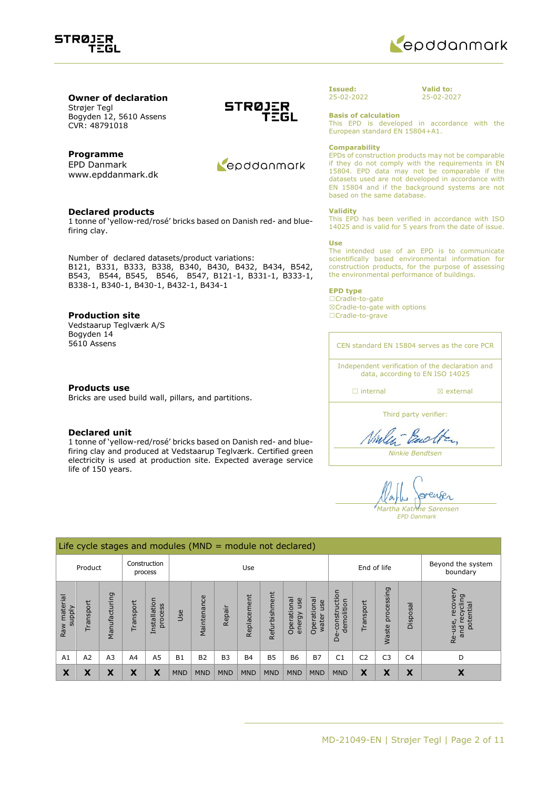



## **Owner of declaration** Strøjer Tegl

Bogyden 12, 5610 Assens CVR: 48791018

### **Programme**

EPD Danmark www.epddanmark.dk

#### **Declared products**

1 tonne of 'yellow-red/rosé' bricks based on Danish red- and bluefiring clay.

Number of declared datasets/product variations: B121, B331, B333, B338, B340, B430, B432, B434, B542, B543, B544, B545, B546, B547, B121-1, B331-1, B333-1, B338-1, B340-1, B430-1, B432-1, B434-1

#### **Production site**

Vedstaarup Teglværk A/S Bogyden 14 5610 Assens

#### **Products use**

Bricks are used build wall, pillars, and partitions.

#### **Declared unit**

1 tonne of 'yellow-red/rosé' bricks based on Danish red- and bluefiring clay and produced at Vedstaarup Teglværk. Certified green electricity is used at production site. Expected average service life of 150 years.





#### **Issued:** 25-02-2022

**Valid to:** 25-02-2027

**Basis of calculation**

This EPD is developed in accordance with the European standard EN 15804+A1.

#### **Comparability**

EPDs of construction products may not be comparable if they do not comply with the requirements in EN 15804. EPD data may not be comparable if the datasets used are not developed in accordance with EN 15804 and if the background systems are not based on the same database.

#### **Validity**

This EPD has been verified in accordance with ISO 14025 and is valid for 5 years from the date of issue.

#### **Use**

The intended use of an EPD is to communicate scientifically based environmental information for construction products, for the purpose of assessing the environmental performance of buildings.

#### **EPD type**

☐Cradle-to-gate ☒Cradle-to-gate with options ☐Cradle-to-grave

CEN standard EN 15804 serves as the core PCR Independent verification of the declaration and data, according to EN ISO 14025

□ internal **a** external

Third party verifier:

Ninlen-Backen

*Ninkie Bendtsen*

renser *Martha Katrine Sørensen EPD Danmark*

|                                    | Life cycle stages and modules (MND = module not declared) |                     |                             |                         |            |                |                |             |               |                              |                             |                                 |                |                     |                |                                                      |
|------------------------------------|-----------------------------------------------------------|---------------------|-----------------------------|-------------------------|------------|----------------|----------------|-------------|---------------|------------------------------|-----------------------------|---------------------------------|----------------|---------------------|----------------|------------------------------------------------------|
| Construction<br>Product<br>process |                                                           |                     | Use                         |                         |            |                |                | End of life |               |                              |                             | Beyond the system<br>boundary   |                |                     |                |                                                      |
| Raw material<br><b>Alddns</b>      | Transport                                                 | Σū<br>コ<br>Manufact | ransport                    | Installation<br>process | Use        | Maintenance    | Repair         | Replacement | Refurbishment | Operational<br>use<br>energy | Operational<br>use<br>water | construction<br>demolition<br>Ö | Transport      | processing<br>Waste | Disposal       | recovery<br>recycling<br>potential<br>Re-use,<br>and |
| A1                                 | A2                                                        | A <sub>3</sub>      | A4                          | A <sub>5</sub>          | <b>B1</b>  | B <sub>2</sub> | B <sub>3</sub> | <b>B4</b>   | <b>B5</b>     | <b>B6</b>                    | <b>B7</b>                   | C <sub>1</sub>                  | C <sub>2</sub> | C <sub>3</sub>      | C <sub>4</sub> | D                                                    |
| X                                  | ^                                                         | χ                   | v<br>$\boldsymbol{\Lambda}$ | X                       | <b>MND</b> | <b>MND</b>     | <b>MND</b>     | <b>MND</b>  | <b>MND</b>    | <b>MND</b>                   | <b>MND</b>                  | <b>MND</b>                      | X              | X                   | X              | Х                                                    |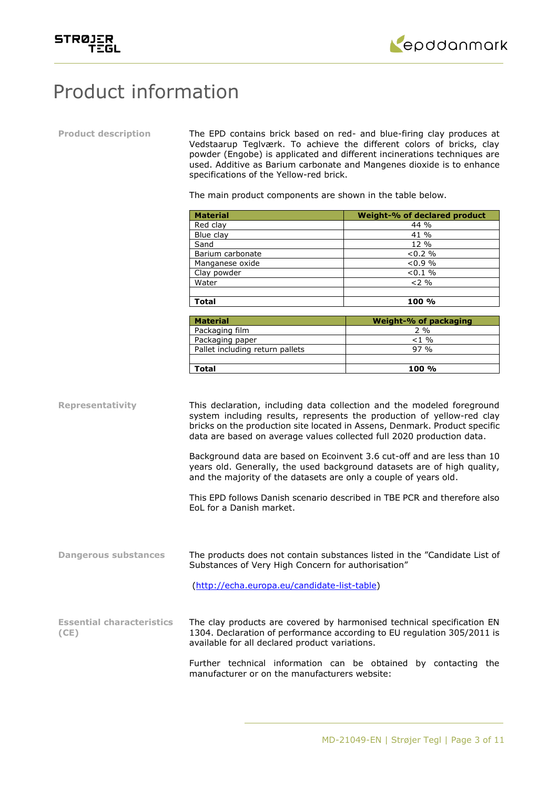



# Product information

**Product description** The EPD contains brick based on red- and blue-firing clay produces at Vedstaarup Teglværk. To achieve the different colors of bricks, clay powder (Engobe) is applicated and different incinerations techniques are used. Additive as Barium carbonate and Mangenes dioxide is to enhance specifications of the Yellow-red brick.

The main product components are shown in the table below.

| <b>Material</b>  | <b>Weight-% of declared product</b> |
|------------------|-------------------------------------|
| Red clay         | $44\%$                              |
| Blue clay        | 41 %                                |
| Sand             | $12\%$                              |
| Barium carbonate | $< 0.2 \%$                          |
| Manganese oxide  | $< 0.9 \%$                          |
| Clay powder      | $< 0.1 \%$                          |
| Water            | $2\%$                               |
|                  |                                     |
| Total            | 100 %                               |

| <b>Material</b>                 | Weight-% of packaging |
|---------------------------------|-----------------------|
| Packaging film                  | $2\%$                 |
| Packaging paper                 | $< 1$ %               |
| Pallet including return pallets | $97\%$                |
|                                 |                       |
| Total                           | $100 \%$              |

**Representativity** This declaration, including data collection and the modeled foreground system including results, represents the production of yellow-red clay bricks on the production site located in Assens, Denmark. Product specific data are based on average values collected full 2020 production data.

> Background data are based on Ecoinvent 3.6 cut-off and are less than 10 years old. Generally, the used background datasets are of high quality, and the majority of the datasets are only a couple of years old.

> This EPD follows Danish scenario described in TBE PCR and therefore also EoL for a Danish market.

**Dangerous substances** The products does not contain substances listed in the "Candidate List of Substances of Very High Concern for authorisation"

[\(http://echa.europa.eu/candidate-list-table\)](http://echa.europa.eu/candidate-list-table)

**Essential characteristics (CE)** The clay products are covered by harmonised technical specification EN 1304. Declaration of performance according to EU regulation 305/2011 is available for all declared product variations.

> Further technical information can be obtained by contacting the manufacturer or on the manufacturers website: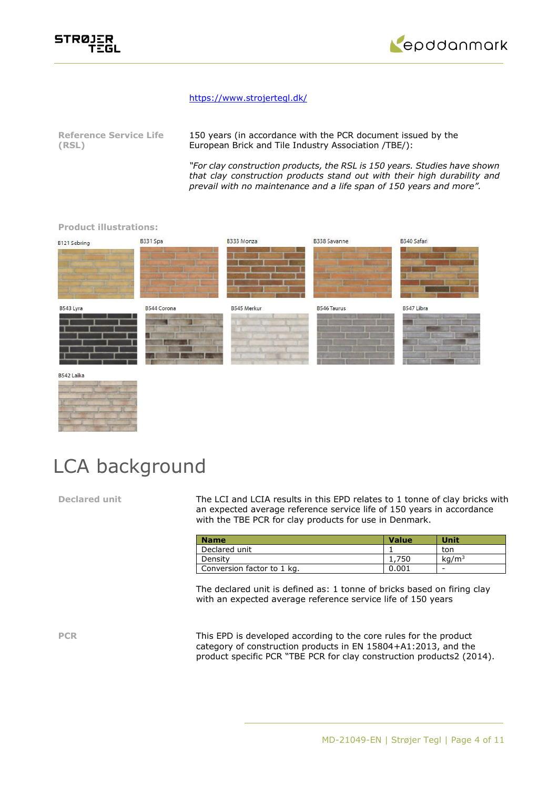



### <https://www.strojertegl.dk/>

| <b>Reference Service Life</b> | 150 years (in accordance with the PCR document issued by the |
|-------------------------------|--------------------------------------------------------------|
| (RSL)                         | European Brick and Tile Industry Association /TBE/):         |

*"For clay construction products, the RSL is 150 years. Studies have shown that clay construction products stand out with their high durability and prevail with no maintenance and a life span of 150 years and more".*

# B340 Safari **R331 Spa** R333 Monza **R338 Savanne** B121 Sebring B543 Lyra B544 Corona **B545 Merkur B546 Taurus** B547 Libra

#### B542 Laika



**Product illustrations:**

# LCA background

**Declared unit** The LCI and LCIA results in this EPD relates to 1 tonne of clay bricks with an expected average reference service life of 150 years in accordance with the TBE PCR for clay products for use in Denmark.

| <b>Name</b>                | <b>Value</b> | Unit              |
|----------------------------|--------------|-------------------|
| Declared unit              |              | ton               |
| Density                    | . 750        | ka/m <sup>3</sup> |
| Conversion factor to 1 kg. | 0.001        | -                 |

The declared unit is defined as: 1 tonne of bricks based on firing clay with an expected average reference service life of 150 years

**PCR** This EPD is developed according to the core rules for the product category of construction products in EN 15804+A1:2013, and the product specific PCR "TBE PCR for clay construction products2 (2014).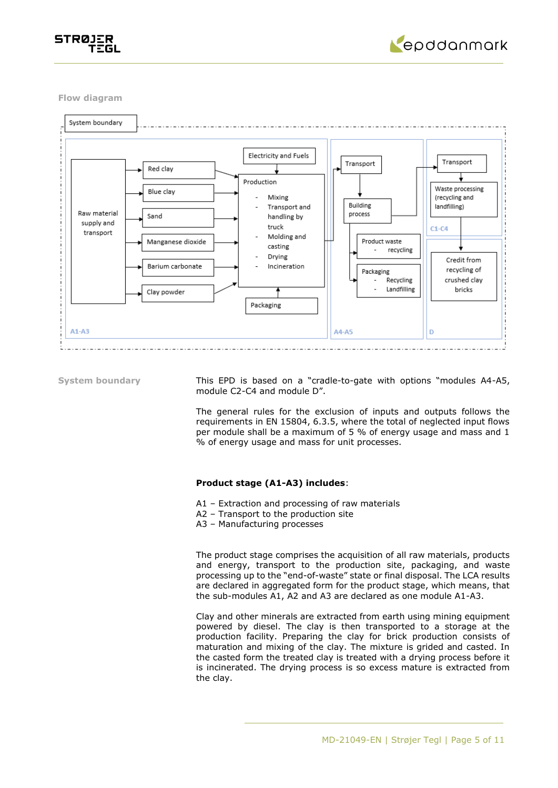



**Flow diagram**



**System boundary** This EPD is based on a "cradle-to-gate with options "modules A4-A5, module C2-C4 and module D".

> The general rules for the exclusion of inputs and outputs follows the requirements in EN 15804, 6.3.5, where the total of neglected input flows per module shall be a maximum of 5 % of energy usage and mass and 1 % of energy usage and mass for unit processes.

#### **Product stage (A1-A3) includes**:

- A1 Extraction and processing of raw materials
- A2 Transport to the production site
- A3 Manufacturing processes

The product stage comprises the acquisition of all raw materials, products and energy, transport to the production site, packaging, and waste processing up to the "end-of-waste" state or final disposal. The LCA results are declared in aggregated form for the product stage, which means, that the sub-modules A1, A2 and A3 are declared as one module A1-A3.

Clay and other minerals are extracted from earth using mining equipment powered by diesel. The clay is then transported to a storage at the production facility. Preparing the clay for brick production consists of maturation and mixing of the clay. The mixture is grided and casted. In the casted form the treated clay is treated with a drying process before it is incinerated. The drying process is so excess mature is extracted from the clay.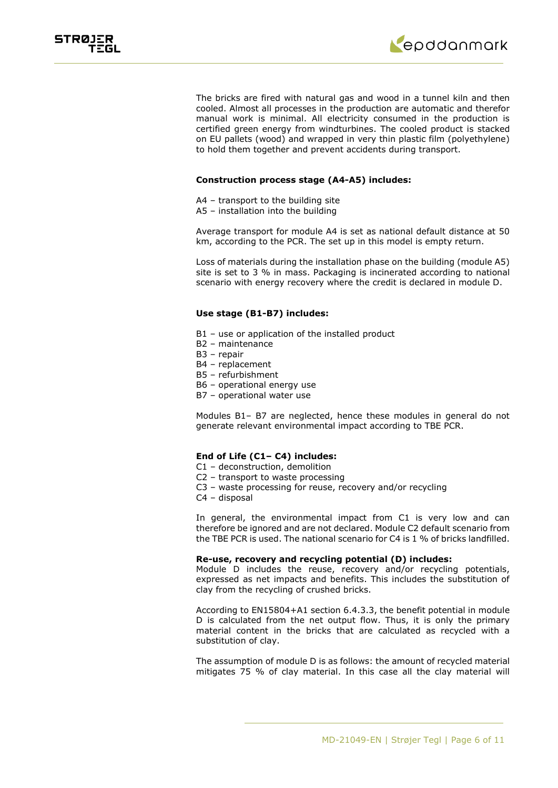



The bricks are fired with natural gas and wood in a tunnel kiln and then cooled. Almost all processes in the production are automatic and therefor manual work is minimal. All electricity consumed in the production is certified green energy from windturbines. The cooled product is stacked on EU pallets (wood) and wrapped in very thin plastic film (polyethylene) to hold them together and prevent accidents during transport.

#### **Construction process stage (A4-A5) includes:**

- A4 transport to the building site
- A5 installation into the building

Average transport for module A4 is set as national default distance at 50 km, according to the PCR. The set up in this model is empty return.

Loss of materials during the installation phase on the building (module A5) site is set to 3 % in mass. Packaging is incinerated according to national scenario with energy recovery where the credit is declared in module D.

#### **Use stage (B1-B7) includes:**

- B1 use or application of the installed product
- B2 maintenance
- B3 repair
- B4 replacement
- B5 refurbishment
- B6 operational energy use
- B7 operational water use

Modules B1– B7 are neglected, hence these modules in general do not generate relevant environmental impact according to TBE PCR.

### **End of Life (C1– C4) includes:**

- C1 deconstruction, demolition
- C2 transport to waste processing
- C3 waste processing for reuse, recovery and/or recycling
- C4 disposal

In general, the environmental impact from C1 is very low and can therefore be ignored and are not declared. Module C2 default scenario from the TBE PCR is used. The national scenario for C4 is 1 % of bricks landfilled.

#### **Re-use, recovery and recycling potential (D) includes:**

Module D includes the reuse, recovery and/or recycling potentials, expressed as net impacts and benefits. This includes the substitution of clay from the recycling of crushed bricks.

According to EN15804+A1 section 6.4.3.3, the benefit potential in module D is calculated from the net output flow. Thus, it is only the primary material content in the bricks that are calculated as recycled with a substitution of clay.

The assumption of module D is as follows: the amount of recycled material mitigates 75 % of clay material. In this case all the clay material will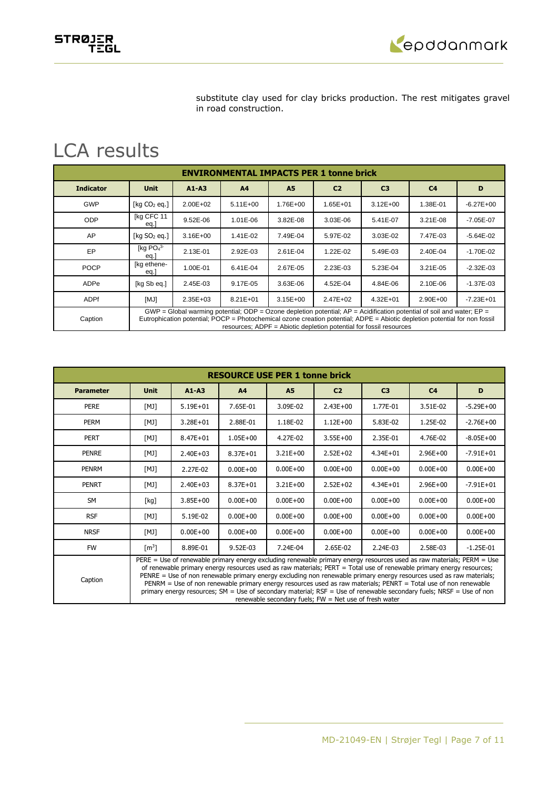epddanmark

substitute clay used for clay bricks production. The rest mitigates gravel in road construction.

# LCA results

STRØJER<br>TEGL

|                  | <b>ENVIRONMENTAL IMPACTS PER 1 tonne brick</b>                                                                                                                                                                                                                                                                                |              |                |              |                |                |                |               |  |  |  |
|------------------|-------------------------------------------------------------------------------------------------------------------------------------------------------------------------------------------------------------------------------------------------------------------------------------------------------------------------------|--------------|----------------|--------------|----------------|----------------|----------------|---------------|--|--|--|
| <b>Indicator</b> | <b>Unit</b>                                                                                                                                                                                                                                                                                                                   | $A1 - A3$    | A <sub>4</sub> | <b>A5</b>    | C <sub>2</sub> | C <sub>3</sub> | C <sub>4</sub> | D             |  |  |  |
| <b>GWP</b>       | [kg $CO2$ eg.]                                                                                                                                                                                                                                                                                                                | $2.00E + 02$ | $5.11E+00$     | 1.76E+00     | $1.65E + 01$   | $3.12E + 00$   | 1.38E-01       | $-6.27E + 00$ |  |  |  |
| ODP              | [kg CFC 11<br>eq.                                                                                                                                                                                                                                                                                                             | 9.52E-06     | 1.01E-06       | 3.82E-08     | 3.03E-06       | 5.41E-07       | $3.21E-08$     | $-7.05E - 07$ |  |  |  |
| AP               | $\lceil$ kg SO <sub>2</sub> eg.]                                                                                                                                                                                                                                                                                              | $3.16E + 00$ | 1.41E-02       | 7.49E-04     | 5.97E-02       | 3.03E-02       | 7.47E-03       | $-5.64E - 02$ |  |  |  |
| EP               | [kg $PO43$<br>eq.]                                                                                                                                                                                                                                                                                                            | 2.13E-01     | 2.92E-03       | 2.61E-04     | 1.22E-02       | 5.49E-03       | 2.40E-04       | $-1.70E - 02$ |  |  |  |
| <b>POCP</b>      | [kg ethene-<br>eq.]                                                                                                                                                                                                                                                                                                           | 1.00E-01     | 6.41E-04       | 2.67E-05     | 2.23E-03       | 5.23E-04       | $3.21E-05$     | $-2.32E - 03$ |  |  |  |
| ADPe             | [kg Sb eg.]                                                                                                                                                                                                                                                                                                                   | 2.45E-03     | 9.17E-05       | 3.63E-06     | 4.52E-04       | 4.84E-06       | 2.10E-06       | $-1.37E - 03$ |  |  |  |
| <b>ADPf</b>      | [MJ]                                                                                                                                                                                                                                                                                                                          | $2.35E + 03$ | $8.21E + 01$   | $3.15E + 00$ | $2.47E + 02$   | $4.32E + 01$   | $2.90E + 00$   | $-7.23E + 01$ |  |  |  |
| Caption          | GWP = Global warming potential; ODP = Ozone depletion potential; $AP =$ Acidification potential of soil and water; $EP =$<br>Eutrophication potential; POCP = Photochemical ozone creation potential; ADPE = Abiotic depletion potential for non fossil<br>resources; ADPF = Abiotic depletion potential for fossil resources |              |                |              |                |                |                |               |  |  |  |

|                  | <b>RESOURCE USE PER 1 tonne brick</b>                                                                                                                                                                                                                                                                                                                                                                                                                                                                                                                                                                                                                                      |              |                |              |                |                |                |               |  |  |  |
|------------------|----------------------------------------------------------------------------------------------------------------------------------------------------------------------------------------------------------------------------------------------------------------------------------------------------------------------------------------------------------------------------------------------------------------------------------------------------------------------------------------------------------------------------------------------------------------------------------------------------------------------------------------------------------------------------|--------------|----------------|--------------|----------------|----------------|----------------|---------------|--|--|--|
| <b>Parameter</b> | <b>Unit</b>                                                                                                                                                                                                                                                                                                                                                                                                                                                                                                                                                                                                                                                                | $A1 - A3$    | A <sub>4</sub> | <b>A5</b>    | C <sub>2</sub> | C <sub>3</sub> | C <sub>4</sub> | D             |  |  |  |
| <b>PERE</b>      | [MJ]                                                                                                                                                                                                                                                                                                                                                                                                                                                                                                                                                                                                                                                                       | $5.19E + 01$ | 7.65E-01       | 3.09E-02     | $2.43E + 00$   | 1.77E-01       | 3.51E-02       | $-5.29E+00$   |  |  |  |
| <b>PERM</b>      | [MJ]                                                                                                                                                                                                                                                                                                                                                                                                                                                                                                                                                                                                                                                                       | $3.28E + 01$ | 2.88E-01       | 1.18E-02     | $1.12E + 00$   | 5.83E-02       | 1.25E-02       | $-2.76E + 00$ |  |  |  |
| <b>PERT</b>      | [MJ]                                                                                                                                                                                                                                                                                                                                                                                                                                                                                                                                                                                                                                                                       | $8.47E + 01$ | $1.05E + 00$   | 4.27E-02     | $3.55E + 00$   | 2.35E-01       | 4.76E-02       | $-8.05E + 00$ |  |  |  |
| <b>PENRE</b>     | [MJ]                                                                                                                                                                                                                                                                                                                                                                                                                                                                                                                                                                                                                                                                       | $2.40E + 03$ | 8.37E+01       | $3.21E + 00$ | $2.52E+02$     | $4.34E + 01$   | $2.96E + 00$   | $-7.91E + 01$ |  |  |  |
| <b>PENRM</b>     | [MJ]                                                                                                                                                                                                                                                                                                                                                                                                                                                                                                                                                                                                                                                                       | 2.27E-02     | $0.00E + 00$   | $0.00E + 00$ | $0.00E + 00$   | $0.00E + 00$   | $0.00E + 00$   | $0.00E + 00$  |  |  |  |
| <b>PENRT</b>     | [MJ]                                                                                                                                                                                                                                                                                                                                                                                                                                                                                                                                                                                                                                                                       | $2.40E + 03$ | $8.37E + 01$   | $3.21E + 00$ | $2.52E+02$     | $4.34E + 01$   | $2.96E + 00$   | $-7.91E + 01$ |  |  |  |
| <b>SM</b>        | [kg]                                                                                                                                                                                                                                                                                                                                                                                                                                                                                                                                                                                                                                                                       | $3.85E + 00$ | $0.00E + 00$   | $0.00E + 00$ | $0.00E + 00$   | $0.00E + 00$   | $0.00E + 00$   | $0.00E + 00$  |  |  |  |
| <b>RSF</b>       | [MJ]                                                                                                                                                                                                                                                                                                                                                                                                                                                                                                                                                                                                                                                                       | 5.19E-02     | $0.00E + 00$   | $0.00E + 00$ | $0.00E + 00$   | $0.00E + 00$   | $0.00E + 00$   | $0.00E + 00$  |  |  |  |
| <b>NRSF</b>      | [MJ]                                                                                                                                                                                                                                                                                                                                                                                                                                                                                                                                                                                                                                                                       | $0.00E + 00$ | $0.00E + 00$   | $0.00E + 00$ | $0.00E + 00$   | $0.00E + 00$   | $0.00E + 00$   | $0.00E + 00$  |  |  |  |
| <b>FW</b>        | $\lceil m^3 \rceil$                                                                                                                                                                                                                                                                                                                                                                                                                                                                                                                                                                                                                                                        | 8.89E-01     | 9.52E-03       | 7.24E-04     | 2.65E-02       | 2.24E-03       | 2.58E-03       | $-1.25E-01$   |  |  |  |
| Caption          | PERE = Use of renewable primary energy excluding renewable primary energy resources used as raw materials; PERM = Use<br>of renewable primary energy resources used as raw materials; PERT = Total use of renewable primary energy resources;<br>PENRE = Use of non renewable primary energy excluding non renewable primary energy resources used as raw materials;<br>PENRM = Use of non renewable primary energy resources used as raw materials; PENRT = Total use of non renewable<br>primary energy resources; SM = Use of secondary material; RSF = Use of renewable secondary fuels; NRSF = Use of non<br>renewable secondary fuels; $FW = Net$ use of fresh water |              |                |              |                |                |                |               |  |  |  |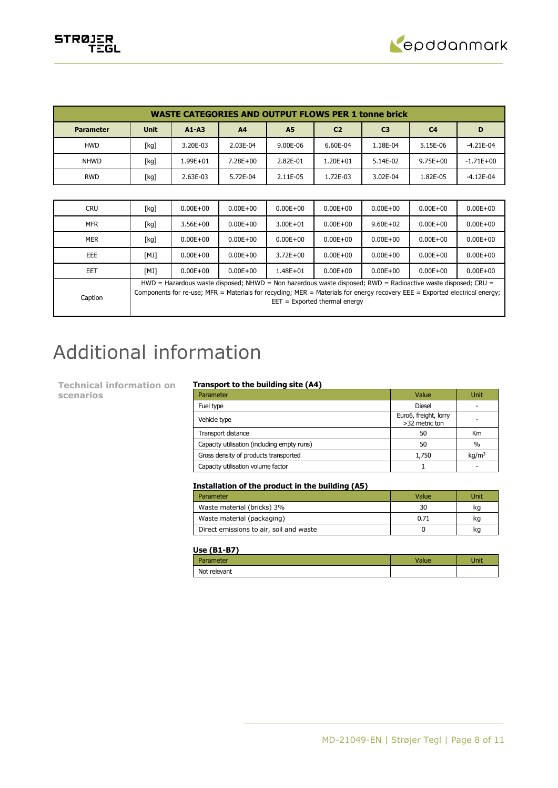

|                  | <b>WASTE CATEGORIES AND OUTPUT FLOWS PER 1 tonne brick</b> |              |              |              |                |                |                |              |  |  |  |
|------------------|------------------------------------------------------------|--------------|--------------|--------------|----------------|----------------|----------------|--------------|--|--|--|
| <b>Parameter</b> | <b>Unit</b>                                                | $A1 - A3$    | A4           | <b>A5</b>    | C <sub>2</sub> | C <sub>3</sub> | C <sub>4</sub> | D            |  |  |  |
| <b>HWD</b>       | [kg]                                                       | 3.20E-03     | 2.03E-04     | 9.00E-06     | 6.60E-04       | 1.18E-04       | 5.15E-06       | $-4.21E-04$  |  |  |  |
| <b>NHWD</b>      | [kg]                                                       | $1.99E + 01$ | 7.28E+00     | 2.82E-01     | $1.20E + 01$   | 5.14E-02       | $9.75E + 00$   | $-1.71E+00$  |  |  |  |
| <b>RWD</b>       | [kg]                                                       | 2.63E-03     | 5.72E-04     | 2.11E-05     | 1.72E-03       | 3.02E-04       | 1.82E-05       | $-4.12E-04$  |  |  |  |
|                  |                                                            |              |              |              |                |                |                |              |  |  |  |
| <b>CRU</b>       | [kg]                                                       | $0.00E + 00$ | $0.00E + 00$ | $0.00E + 00$ | $0.00E + 00$   | $0.00E + 00$   | $0.00E + 00$   | $0.00E + 00$ |  |  |  |
| <b>MFR</b>       | [kg]                                                       | $3.56E + 00$ | $0.00E + 00$ | $3.00E + 01$ | $0.00E + 00$   | $9.60E + 02$   | $0.00E + 00$   | $0.00E + 00$ |  |  |  |
| <b>MER</b>       | [kg]                                                       | $0.00E + 00$ | $0.00E + 00$ | $0.00E + 00$ | $0.00E + 00$   | $0.00E + 00$   | $0.00E + 00$   | $0.00E + 00$ |  |  |  |

| <b>PILIN</b> | 1 N.Y I                                                                                                                     | v.vv∟⊤vv     | <b>U.UULTUU</b> | <b>U.UULTUU</b> | <b>U.UULTUU</b>                 | <u>u.uul Tuu</u> | <u>u.uul Tuu</u> | <b>U.UULTUU</b> |  |  |
|--------------|-----------------------------------------------------------------------------------------------------------------------------|--------------|-----------------|-----------------|---------------------------------|------------------|------------------|-----------------|--|--|
| EEE          | [MJ]                                                                                                                        | $0.00E + 00$ | $0.00E + 00$    | $3.72E + 00$    | $0.00E + 00$                    | $0.00E + 00$     | $0.00E + 00$     | $0.00E + 00$    |  |  |
| EET          | [MJ]                                                                                                                        | $0.00E + 00$ | $0.00E + 00$    | $1.48E + 01$    | $0.00E + 00$                    | $0.00E + 00$     | $0.00E + 00$     | $0.00E + 00$    |  |  |
|              | $HWD =$ Hazardous waste disposed; NHWD = Non hazardous waste disposed; RWD = Radioactive waste disposed; CRU =              |              |                 |                 |                                 |                  |                  |                 |  |  |
|              | Components for re-use; MFR = Materials for recycling; MER = Materials for energy recovery EEE = Exported electrical energy; |              |                 |                 |                                 |                  |                  |                 |  |  |
| Caption      |                                                                                                                             |              |                 |                 | $EET = Exported thermal energy$ |                  |                  |                 |  |  |

# Additional information

**Technical information on scenarios**

# **Transport to the building site (A4)**

| Parameter                                   | Value                                   | Unit              |
|---------------------------------------------|-----------------------------------------|-------------------|
| Fuel type                                   | <b>Diesel</b>                           |                   |
| Vehicle type                                | Euro6, freight, lorry<br>>32 metric ton |                   |
| Transport distance                          | 50                                      | Km                |
| Capacity utilisation (including empty runs) | 50                                      | $\%$              |
| Gross density of products transported       | 1,750                                   | kq/m <sup>3</sup> |
| Capacity utilisation volume factor          |                                         |                   |

#### **Installation of the product in the building (A5)**

| Parameter                               | Value | Unit |
|-----------------------------------------|-------|------|
| Waste material (bricks) 3%              | 30    | kq   |
| Waste material (packaging)              | 0.71  | kq   |
| Direct emissions to air, soil and waste |       | ĸq   |

### **Use (B1-B7)**

| Parameter    | <b>Value</b> | Unit |
|--------------|--------------|------|
| Not relevant |              |      |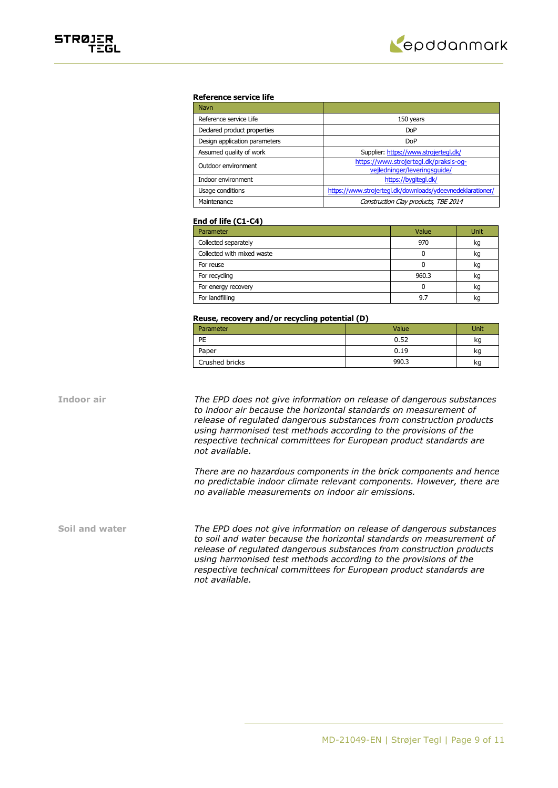

# STRØJER<br>TEGL

#### **Reference service life**

| <b>Navn</b>                   |                                                                        |
|-------------------------------|------------------------------------------------------------------------|
| Reference service Life        | 150 years                                                              |
| Declared product properties   | <b>DoP</b>                                                             |
| Design application parameters | <b>DoP</b>                                                             |
| Assumed quality of work       | Supplier: https://www.strojertegl.dk/                                  |
| Outdoor environment           | https://www.strojertegl.dk/praksis-og-<br>vejledninger/leveringsquide/ |
| Indoor environment            | https://bygitegl.dk/                                                   |
| Usage conditions              | https://www.strojertegl.dk/downloads/ydeevnedeklarationer/             |
| Maintenance                   | Construction Clay products, TBE 2014                                   |

#### **End of life (C1-C4)**

| Parameter                  | Value | Unit |
|----------------------------|-------|------|
| Collected separately       | 970   | kg   |
| Collected with mixed waste |       | kg   |
| For reuse                  |       | kg   |
| For recycling              | 960.3 | kq   |
| For energy recovery        |       | kg   |
| For landfilling            | 9.7   | ĸс   |

#### **Reuse, recovery and/or recycling potential (D)**

| Parameter      | Value | Jnit |
|----------------|-------|------|
| PE             | 0.52  | kg   |
| Paper          | 0.19  | kg   |
| Crushed bricks | 990.3 | kg   |

**Indoor air** *The EPD does not give information on release of dangerous substances to indoor air because the horizontal standards on measurement of release of regulated dangerous substances from construction products using harmonised test methods according to the provisions of the respective technical committees for European product standards are not available.*

> *There are no hazardous components in the brick components and hence no predictable indoor climate relevant components. However, there are no available measurements on indoor air emissions.*

**Soil and water** *The EPD does not give information on release of dangerous substances to soil and water because the horizontal standards on measurement of release of regulated dangerous substances from construction products using harmonised test methods according to the provisions of the respective technical committees for European product standards are not available.*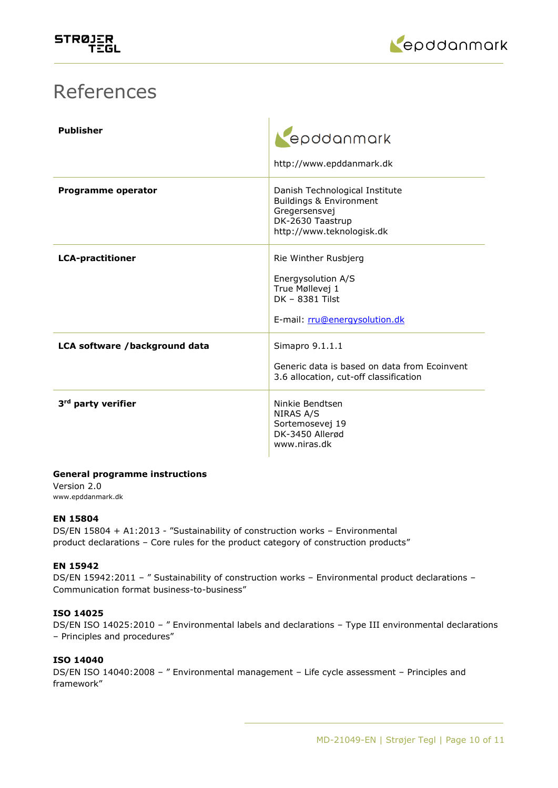

# References

| <b>Publisher</b>               | epddanmark<br>http://www.epddanmark.dk                                                                                                 |
|--------------------------------|----------------------------------------------------------------------------------------------------------------------------------------|
| Programme operator             | Danish Technological Institute<br><b>Buildings &amp; Environment</b><br>Gregersensvej<br>DK-2630 Taastrup<br>http://www.teknologisk.dk |
| <b>LCA-practitioner</b>        | Rie Winther Rusbjerg<br>Energysolution A/S<br>True Møllevej 1<br>DK - 8381 Tilst<br>E-mail: rru@energysolution.dk                      |
| LCA software /background data  | Simapro 9.1.1.1<br>Generic data is based on data from Ecoinvent<br>3.6 allocation, cut-off classification                              |
| 3 <sup>rd</sup> party verifier | Ninkie Bendtsen<br>NIRAS A/S<br>Sortemosevej 19<br>DK-3450 Allerød<br>www.niras.dk                                                     |

# **General programme instructions**

Version 2.0 www.epddanmark.dk

# **EN 15804**

DS/EN 15804 + A1:2013 - "Sustainability of construction works – Environmental product declarations – Core rules for the product category of construction products"

# **EN 15942**

DS/EN 15942:2011 - " Sustainability of construction works - Environmental product declarations -Communication format business-to-business"

## **ISO 14025**

DS/EN ISO 14025:2010 – " Environmental labels and declarations – Type III environmental declarations – Principles and procedures"

# **ISO 14040**

DS/EN ISO 14040:2008 – " Environmental management – Life cycle assessment – Principles and framework"